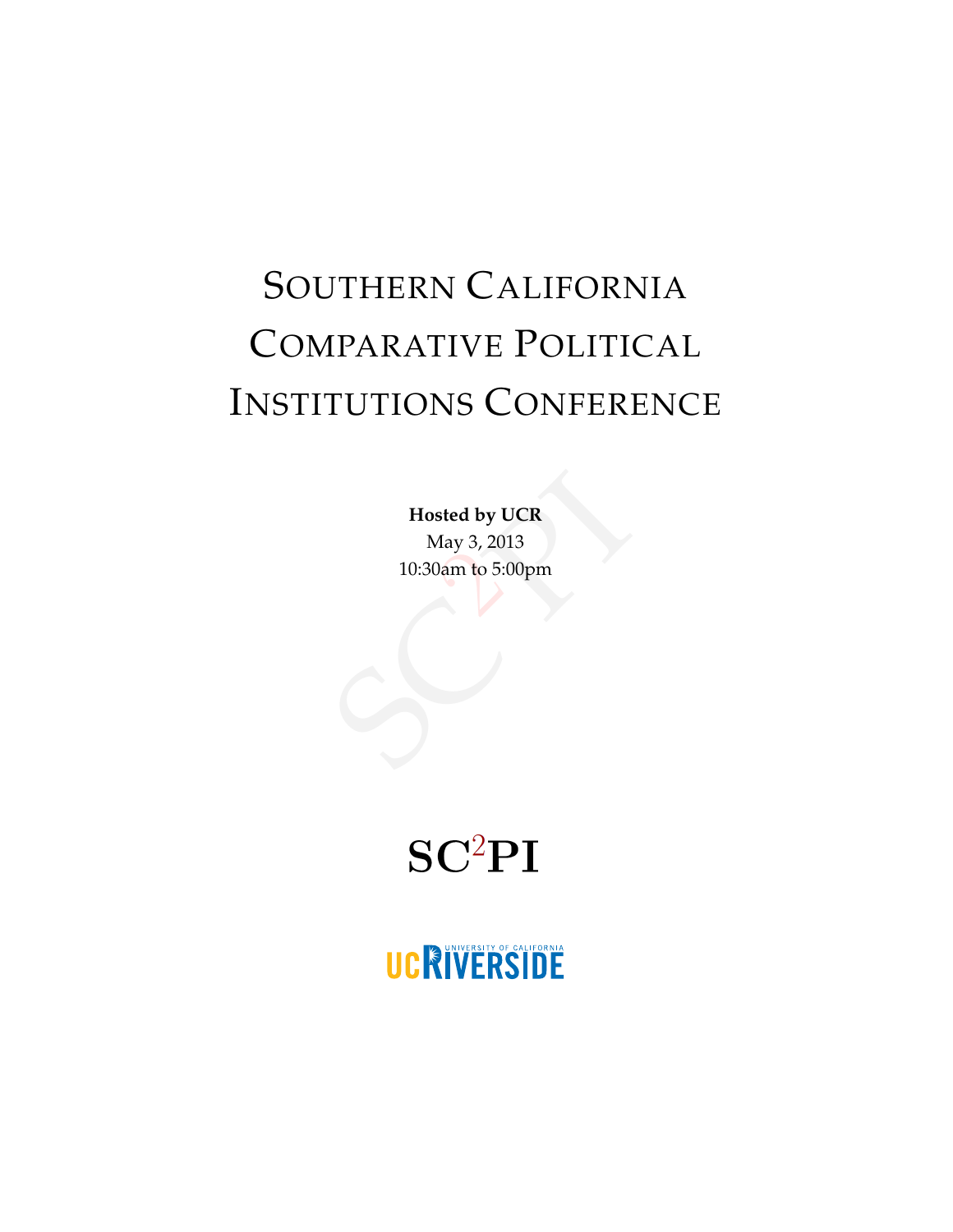# SOUTHERN CALIFORNIA COMPARATIVE POLITICAL INSTITUTIONS CONFERENCE

sted by UCR<br>Aay 3, 2013<br>Jam to 5:00pm **Hosted by UCR** May 3, 2013 10:30am to 5:00pm

# $SC<sup>2</sup>PI$

# UCRIVERSIDE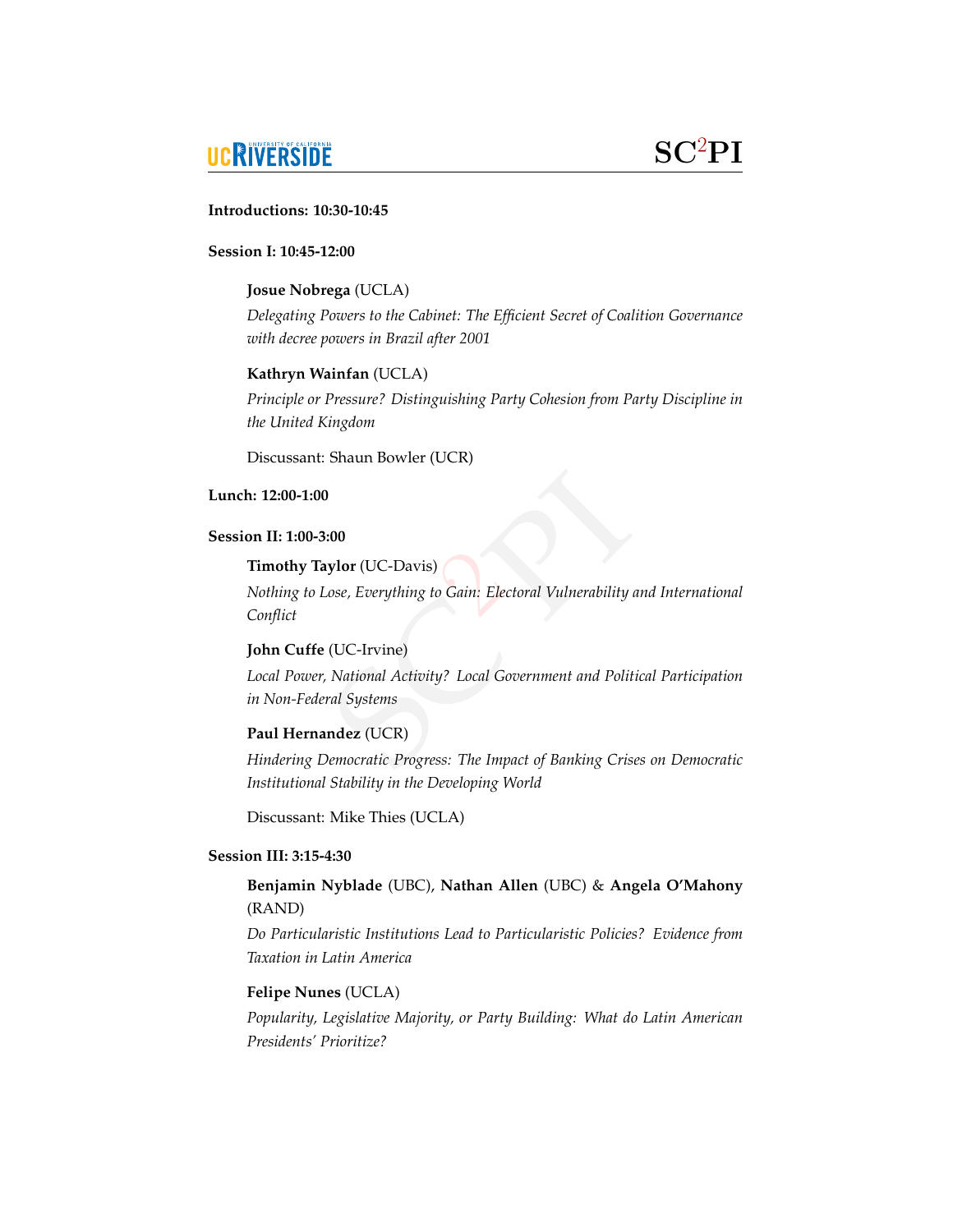# **UCRIVERSIDE**

### a **Introductions: 10:30-10:45**

#### **Session I: 10:45-12:00**

#### **Josue Nobrega** (UCLA)

*Delegating Powers to the Cabinet: The Efficient Secret of Coalition Governance with decree powers in Brazil after 2001*

#### **Kathryn Wainfan** (UCLA)

*Principle or Pressure? Distinguishing Party Cohesion from Party Discipline in the United Kingdom*

Discussant: Shaun Bowler (UCR)

#### **Lunch: 12:00-1:00**

#### **Session II: 1:00-3:00**

#### **Timothy Taylor** (UC-Davis)

o<br>Cain: Electoral Vulnerability an *Nothing to Lose, Everything to Gain: Electoral Vulnerability and International Conflict*

#### **John Cuffe** (UC-Irvine)

ose, Everything to Gain: Electoral<br>(UC-Irvine)<br>National Activity? Local Govern<br>ral Systems<br>**ndez** (UCR)<br>Pemocratic Progress: The Impact of *Local Power, National Activity? Local Government and Political Participation in Non-Federal Systems*

#### **Paul Hernandez** (UCR)

*Hindering Democratic Progress: The Impact of Banking Crises on Democratic Institutional Stability in the Developing World*

Discussant: Mike Thies (UCLA)

#### **Session III: 3:15-4:30**

#### **Benjamin Nyblade** (UBC), **Nathan Allen** (UBC) & **Angela O'Mahony** (RAND)

*Do Particularistic Institutions Lead to Particularistic Policies? Evidence from Taxation in Latin America*

#### **Felipe Nunes** (UCLA)

*Popularity, Legislative Majority, or Party Building: What do Latin American Presidents' Prioritize?*